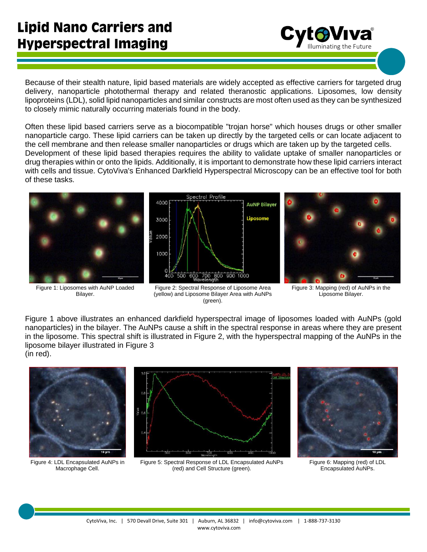Because of their stealth nature, lipid based materials are widely accepted as effective carriers for targeted drug delivery, nanoparticle photothermal therapy and related theranostic applications. Liposomes, low density lipoproteins (LDL), solid lipid nanoparticles and similar constructs are most often used as they can be synthesized to closely mimic naturally occurring materials found in the body.

Often these lipid based carriers serve as a biocompatible "trojan horse" which houses drugs or other smaller nanoparticle cargo. These lipid carriers can be taken up directly by the targeted cells or can locate adjacent to the cell membrane and then release smaller nanoparticles or drugs which are taken up by the targeted cells. Development of these lipid based therapies requires the ability to validate uptake of smaller nanoparticles or drug therapies within or onto the lipids. Additionally, it is important to demonstrate how these lipid carriers interact with cells and tissue. CytoViva's Enhanced Darkfield Hyperspectral Microscopy can be an effective tool for both of these tasks.



Figure 1: Liposomes with AuNP Loaded Bilayer.



Figure 2: Spectral Response of Liposome Area (yellow) and Liposome Bilayer Area with AuNPs (green).



CytoViva®

Figure 3: Mapping (red) of AuNPs in the Liposome Bilayer.

Figure 1 above illustrates an enhanced darkfield hyperspectral image of liposomes loaded with AuNPs (gold nanoparticles) in the bilayer. The AuNPs cause a shift in the spectral response in areas where they are present in the liposome. This spectral shift is illustrated in Figure 2, with the hyperspectral mapping of the AuNPs in the liposome bilayer illustrated in Figure 3 (in red).



Figure 4: LDL Encapsulated AuNPs in Macrophage Cell.



Figure 5: Spectral Response of LDL Encapsulated AuNPs (red) and Cell Structure (green).



Figure 6: Mapping (red) of LDL Encapsulated AuNPs.